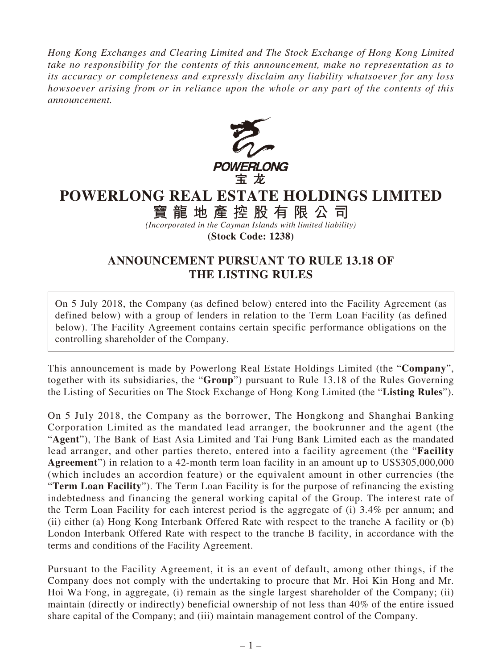*Hong Kong Exchanges and Clearing Limited and The Stock Exchange of Hong Kong Limited take no responsibility for the contents of this announcement, make no representation as to its accuracy or completeness and expressly disclaim any liability whatsoever for any loss howsoever arising from or in reliance upon the whole or any part of the contents of this announcement.*



## **POWERLONG REAL ESTATE HOLDINGS LIMITED**

**寶龍地產控股有限公司**

*(Incorporated in the Cayman Islands with limited liability)* **(Stock Code: 1238)**

## **ANNOUNCEMENT PURSUANT TO RULE 13.18 OF THE LISTING RULES**

On 5 July 2018, the Company (as defined below) entered into the Facility Agreement (as defined below) with a group of lenders in relation to the Term Loan Facility (as defined below). The Facility Agreement contains certain specific performance obligations on the controlling shareholder of the Company.

This announcement is made by Powerlong Real Estate Holdings Limited (the "**Company**", together with its subsidiaries, the "**Group**") pursuant to Rule 13.18 of the Rules Governing the Listing of Securities on The Stock Exchange of Hong Kong Limited (the "**Listing Rules**").

On 5 July 2018, the Company as the borrower, The Hongkong and Shanghai Banking Corporation Limited as the mandated lead arranger, the bookrunner and the agent (the "**Agent**"), The Bank of East Asia Limited and Tai Fung Bank Limited each as the mandated lead arranger, and other parties thereto, entered into a facility agreement (the "**Facility Agreement**") in relation to a 42-month term loan facility in an amount up to US\$305,000,000 (which includes an accordion feature) or the equivalent amount in other currencies (the "**Term Loan Facility**"). The Term Loan Facility is for the purpose of refinancing the existing indebtedness and financing the general working capital of the Group. The interest rate of the Term Loan Facility for each interest period is the aggregate of (i) 3.4% per annum; and (ii) either (a) Hong Kong Interbank Offered Rate with respect to the tranche A facility or (b) London Interbank Offered Rate with respect to the tranche B facility, in accordance with the terms and conditions of the Facility Agreement.

Pursuant to the Facility Agreement, it is an event of default, among other things, if the Company does not comply with the undertaking to procure that Mr. Hoi Kin Hong and Mr. Hoi Wa Fong, in aggregate, (i) remain as the single largest shareholder of the Company; (ii) maintain (directly or indirectly) beneficial ownership of not less than 40% of the entire issued share capital of the Company; and (iii) maintain management control of the Company.